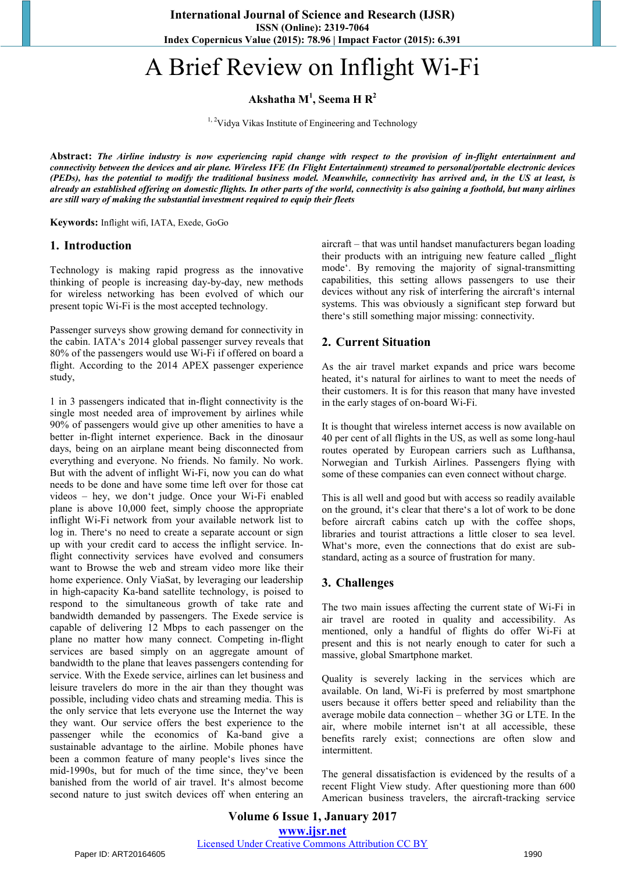**International Journal of Science and Research (IJSR) ISSN (Online): 2319-7064 Index Copernicus Value (2015): 78.96 | Impact Factor (2015): 6.391** 

# A Brief Review on Inflight Wi-Fi

**Akshatha M<sup>1</sup> , Seema H R2**

<sup>1, 2</sup>Vidya Vikas Institute of Engineering and Technology

**Abstract:** *The Airline industry is now experiencing rapid change with respect to the provision of in-flight entertainment and connectivity between the devices and air plane. Wireless IFE (In Flight Entertainment) streamed to personal/portable electronic devices (PEDs), has the potential to modify the traditional business model. Meanwhile, connectivity has arrived and, in the US at least, is already an established offering on domestic flights. In other parts of the world, connectivity is also gaining a foothold, but many airlines are still wary of making the substantial investment required to equip their fleets* 

**Keywords:** Inflight wifi, IATA, Exede, GoGo

### **1. Introduction**

Technology is making rapid progress as the innovative thinking of people is increasing day-by-day, new methods for wireless networking has been evolved of which our present topic Wi-Fi is the most accepted technology.

Passenger surveys show growing demand for connectivity in the cabin. IATA's 2014 global passenger survey reveals that 80% of the passengers would use Wi-Fi if offered on board a flight. According to the 2014 APEX passenger experience study,

1 in 3 passengers indicated that in-flight connectivity is the single most needed area of improvement by airlines while 90% of passengers would give up other amenities to have a better in-flight internet experience. Back in the dinosaur days, being on an airplane meant being disconnected from everything and everyone. No friends. No family. No work. But with the advent of inflight Wi-Fi, now you can do what needs to be done and have some time left over for those cat videos – hey, we don't judge. Once your Wi-Fi enabled plane is above 10,000 feet, simply choose the appropriate inflight Wi-Fi network from your available network list to log in. There's no need to create a separate account or sign up with your credit card to access the inflight service. Inflight connectivity services have evolved and consumers want to Browse the web and stream video more like their home experience. Only ViaSat, by leveraging our leadership in high-capacity Ka-band satellite technology, is poised to respond to the simultaneous growth of take rate and bandwidth demanded by passengers. The Exede service is capable of delivering 12 Mbps to each passenger on the plane no matter how many connect. Competing in-flight services are based simply on an aggregate amount of bandwidth to the plane that leaves passengers contending for service. With the Exede service, airlines can let business and leisure travelers do more in the air than they thought was possible, including video chats and streaming media. This is the only service that lets everyone use the Internet the way they want. Our service offers the best experience to the passenger while the economics of Ka-band give a sustainable advantage to the airline. Mobile phones have been a common feature of many people's lives since the mid-1990s, but for much of the time since, they've been banished from the world of air travel. It's almost become second nature to just switch devices off when entering an

aircraft – that was until handset manufacturers began loading their products with an intriguing new feature called \_flight mode'. By removing the majority of signal-transmitting capabilities, this setting allows passengers to use their devices without any risk of interfering the aircraft's internal systems. This was obviously a significant step forward but there's still something major missing: connectivity.

### **2. Current Situation**

As the air travel market expands and price wars become heated, it's natural for airlines to want to meet the needs of their customers. It is for this reason that many have invested in the early stages of on-board Wi-Fi.

It is thought that wireless internet access is now available on 40 per cent of all flights in the US, as well as some long-haul routes operated by European carriers such as Lufthansa, Norwegian and Turkish Airlines. Passengers flying with some of these companies can even connect without charge.

This is all well and good but with access so readily available on the ground, it's clear that there's a lot of work to be done before aircraft cabins catch up with the coffee shops, libraries and tourist attractions a little closer to sea level. What's more, even the connections that do exist are substandard, acting as a source of frustration for many.

### **3. Challenges**

The two main issues affecting the current state of Wi-Fi in air travel are rooted in quality and accessibility. As mentioned, only a handful of flights do offer Wi-Fi at present and this is not nearly enough to cater for such a massive, global Smartphone market.

Quality is severely lacking in the services which are available. On land, Wi-Fi is preferred by most smartphone users because it offers better speed and reliability than the average mobile data connection – whether 3G or LTE. In the air, where mobile internet isn't at all accessible, these benefits rarely exist; connections are often slow and intermittent.

The general dissatisfaction is evidenced by the results of a recent Flight View study. After questioning more than 600 American business travelers, the aircraft-tracking service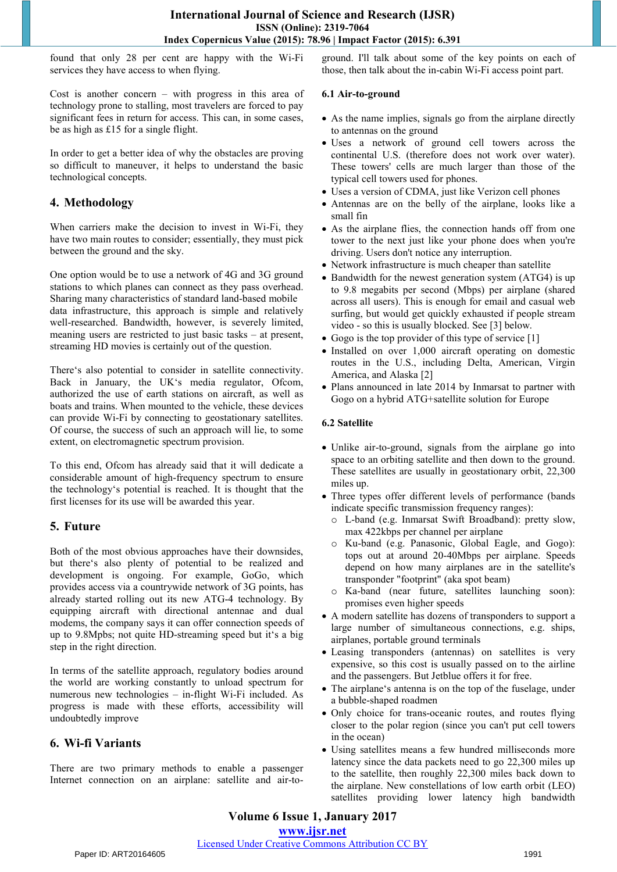found that only 28 per cent are happy with the Wi-Fi services they have access to when flying.

Cost is another concern – with progress in this area of technology prone to stalling, most travelers are forced to pay significant fees in return for access. This can, in some cases, be as high as £15 for a single flight.

In order to get a better idea of why the obstacles are proving so difficult to maneuver, it helps to understand the basic technological concepts.

# **4. Methodology**

When carriers make the decision to invest in Wi-Fi, they have two main routes to consider; essentially, they must pick between the ground and the sky.

One option would be to use a network of 4G and 3G ground stations to which planes can connect as they pass overhead. Sharing many characteristics of standard land-based mobile data infrastructure, this approach is simple and relatively well-researched. Bandwidth, however, is severely limited, meaning users are restricted to just basic tasks – at present, streaming HD movies is certainly out of the question.

There's also potential to consider in satellite connectivity. Back in January, the UK's media regulator, Ofcom, authorized the use of earth stations on aircraft, as well as boats and trains. When mounted to the vehicle, these devices can provide Wi-Fi by connecting to geostationary satellites. Of course, the success of such an approach will lie, to some extent, on electromagnetic spectrum provision.

To this end, Ofcom has already said that it will dedicate a considerable amount of high-frequency spectrum to ensure the technology's potential is reached. It is thought that the first licenses for its use will be awarded this year.

# **5. Future**

Both of the most obvious approaches have their downsides, but there's also plenty of potential to be realized and development is ongoing. For example, GoGo, which provides access via a countrywide network of 3G points, has already started rolling out its new ATG-4 technology. By equipping aircraft with directional antennae and dual modems, the company says it can offer connection speeds of up to 9.8Mpbs; not quite HD-streaming speed but it's a big step in the right direction.

In terms of the satellite approach, regulatory bodies around the world are working constantly to unload spectrum for numerous new technologies – in-flight Wi-Fi included. As progress is made with these efforts, accessibility will undoubtedly improve

# **6. Wi-fi Variants**

There are two primary methods to enable a passenger Internet connection on an airplane: satellite and air-toground. I'll talk about some of the key points on each of those, then talk about the in-cabin Wi-Fi access point part.

## **6.1 Air-to-ground**

- As the name implies, signals go from the airplane directly to antennas on the ground
- Uses a network of ground cell towers across the continental U.S. (therefore does not work over water). These towers' cells are much larger than those of the typical cell towers used for phones.
- Uses a version of CDMA, just like Verizon cell phones
- Antennas are on the belly of the airplane, looks like a small fin
- As the airplane flies, the connection hands off from one tower to the next just like your phone does when you're driving. Users don't notice any interruption.
- Network infrastructure is much cheaper than satellite
- Bandwidth for the newest generation system (ATG4) is up to 9.8 megabits per second (Mbps) per airplane (shared across all users). This is enough for email and casual web surfing, but would get quickly exhausted if people stream video - so this is usually blocked. See [3] below.
- Gogo is the top provider of this type of service [1]
- Installed on over 1,000 aircraft operating on domestic routes in the U.S., including Delta, American, Virgin America, and Alaska [2]
- Plans announced in late 2014 by Inmarsat to partner with Gogo on a hybrid ATG+satellite solution for Europe

## **6.2 Satellite**

- Unlike air-to-ground, signals from the airplane go into space to an orbiting satellite and then down to the ground. These satellites are usually in geostationary orbit, 22,300 miles up.
- Three types offer different levels of performance (bands indicate specific transmission frequency ranges):
	- o L-band (e.g. Inmarsat Swift Broadband): pretty slow, max 422kbps per channel per airplane
	- o Ku-band (e.g. Panasonic, Global Eagle, and Gogo): tops out at around 20-40Mbps per airplane. Speeds depend on how many airplanes are in the satellite's transponder "footprint" (aka spot beam)
	- o Ka-band (near future, satellites launching soon): promises even higher speeds
- A modern satellite has dozens of transponders to support a large number of simultaneous connections, e.g. ships, airplanes, portable ground terminals
- Leasing transponders (antennas) on satellites is very expensive, so this cost is usually passed on to the airline and the passengers. But Jetblue offers it for free.
- The airplane's antenna is on the top of the fuselage, under a bubble-shaped roadmen
- Only choice for trans-oceanic routes, and routes flying closer to the polar region (since you can't put cell towers in the ocean)
- Using satellites means a few hundred milliseconds more latency since the data packets need to go 22,300 miles up to the satellite, then roughly 22,300 miles back down to the airplane. New constellations of low earth orbit (LEO) satellites providing lower latency high bandwidth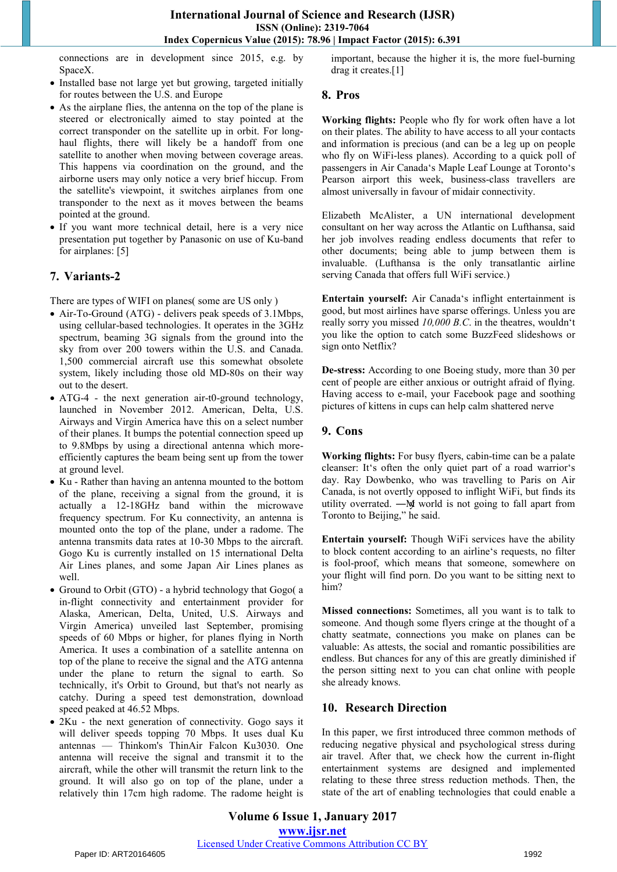connections are in development since 2015, e.g. by SpaceX.

- Installed base not large yet but growing, targeted initially for routes between the U.S. and Europe
- As the airplane flies, the antenna on the top of the plane is steered or electronically aimed to stay pointed at the correct transponder on the satellite up in orbit. For longhaul flights, there will likely be a handoff from one satellite to another when moving between coverage areas. This happens via coordination on the ground, and the airborne users may only notice a very brief hiccup. From the satellite's viewpoint, it switches airplanes from one transponder to the next as it moves between the beams pointed at the ground.
- If you want more technical detail, here is a very nice presentation put together by Panasonic on use of Ku-band for airplanes: [5]

# **7. Variants-2**

There are types of WIFI on planes( some are US only )

- Air-To-Ground (ATG) delivers peak speeds of 3.1Mbps, using cellular-based technologies. It operates in the 3GHz spectrum, beaming 3G signals from the ground into the sky from over 200 towers within the U.S. and Canada. 1,500 commercial aircraft use this somewhat obsolete system, likely including those old MD-80s on their way out to the desert.
- ATG-4 the next generation air-t0-ground technology, launched in November 2012. American, Delta, U.S. Airways and Virgin America have this on a select number of their planes. It bumps the potential connection speed up to 9.8Mbps by using a directional antenna which moreefficiently captures the beam being sent up from the tower at ground level.
- Ku Rather than having an antenna mounted to the bottom of the plane, receiving a signal from the ground, it is actually a 12-18GHz band within the microwave frequency spectrum. For Ku connectivity, an antenna is mounted onto the top of the plane, under a radome. The antenna transmits data rates at 10-30 Mbps to the aircraft. Gogo Ku is currently installed on 15 international Delta Air Lines planes, and some Japan Air Lines planes as well.
- Ground to Orbit (GTO) a hybrid technology that Gogo( a in-flight connectivity and entertainment provider for Alaska, American, Delta, United, U.S. Airways and Virgin America) unveiled last September, promising speeds of 60 Mbps or higher, for planes flying in North America. It uses a combination of a satellite antenna on top of the plane to receive the signal and the ATG antenna under the plane to return the signal to earth. So technically, it's Orbit to Ground, but that's not nearly as catchy. During a speed test demonstration, download speed peaked at 46.52 Mbps.
- 2Ku the next generation of connectivity. Gogo says it will deliver speeds topping 70 Mbps. It uses dual Ku antennas — Thinkom's ThinAir Falcon Ku3030. One antenna will receive the signal and transmit it to the aircraft, while the other will transmit the return link to the ground. It will also go on top of the plane, under a relatively thin 17cm high radome. The radome height is

important, because the higher it is, the more fuel-burning drag it creates.[1]

## **8. Pros**

**Working flights:** People who fly for work often have a lot on their plates. The ability to have access to all your contacts and information is precious (and can be a leg up on people who fly on WiFi-less planes). According to a quick poll of passengers in Air Canada's Maple Leaf Lounge at Toronto's Pearson airport this week, business-class travellers are almost universally in favour of midair connectivity.

Elizabeth McAlister, a UN international development consultant on her way across the Atlantic on Lufthansa, said her job involves reading endless documents that refer to other documents; being able to jump between them is invaluable. (Lufthansa is the only transatlantic airline serving Canada that offers full WiFi service.)

**Entertain yourself:** Air Canada's inflight entertainment is good, but most airlines have sparse offerings. Unless you are really sorry you missed *10,000 B.C*. in the theatres, wouldn't you like the option to catch some BuzzFeed slideshows or sign onto Netflix?

**De-stress:** According to one Boeing study, more than 30 per cent of people are either anxious or outright afraid of flying. Having access to e-mail, your Facebook page and soothing pictures of kittens in cups can help calm shattered nerve

# **9. Cons**

**Working flights:** For busy flyers, cabin-time can be a palate cleanser: It's often the only quiet part of a road warrior's day. Ray Dowbenko, who was travelling to Paris on Air Canada, is not overtly opposed to inflight WiFi, but finds its utility overrated. —My world is not going to fall apart from Toronto to Beijing," he said.

**Entertain yourself:** Though WiFi services have the ability to block content according to an airline's requests, no filter is fool-proof, which means that someone, somewhere on your flight will find porn. Do you want to be sitting next to him?

**Missed connections:** Sometimes, all you want is to talk to someone. And though some flyers cringe at the thought of a chatty seatmate, connections you make on planes can be valuable: As attests, the social and romantic possibilities are endless. But chances for any of this are greatly diminished if the person sitting next to you can chat online with people she already knows.

# **10. Research Direction**

In this paper, we first introduced three common methods of reducing negative physical and psychological stress during air travel. After that, we check how the current in-flight entertainment systems are designed and implemented relating to these three stress reduction methods. Then, the state of the art of enabling technologies that could enable a